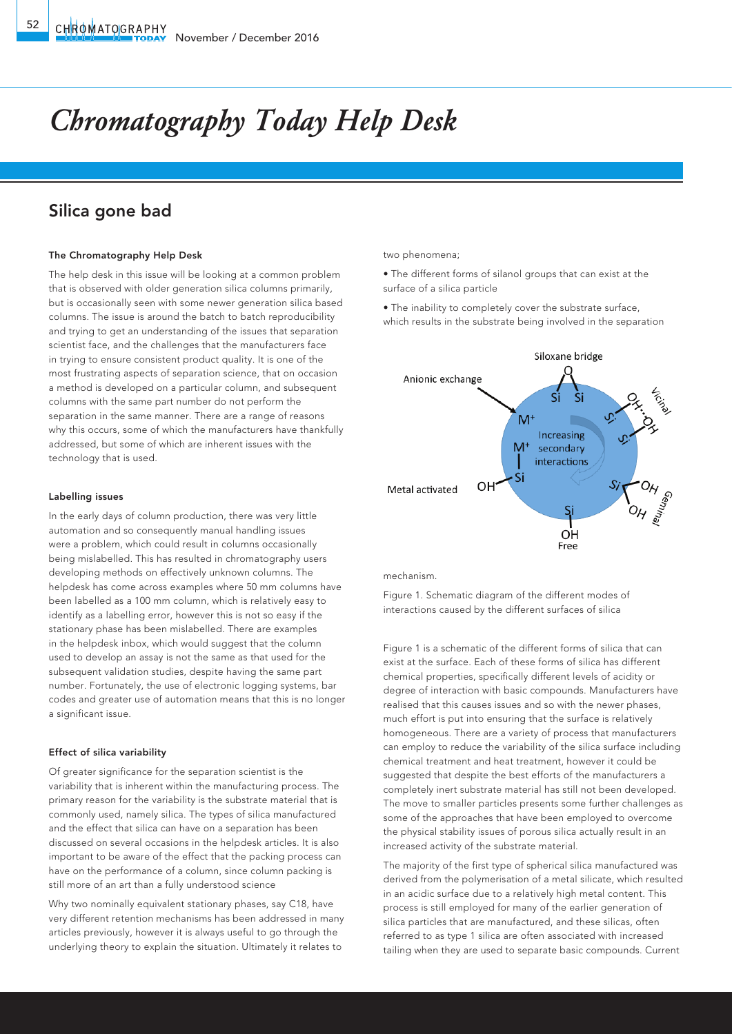# *Chromatography Today Help Desk*

## Silica gone bad

#### The Chromatography Help Desk

The help desk in this issue will be looking at a common problem that is observed with older generation silica columns primarily, but is occasionally seen with some newer generation silica based columns. The issue is around the batch to batch reproducibility and trying to get an understanding of the issues that separation scientist face, and the challenges that the manufacturers face in trying to ensure consistent product quality. It is one of the most frustrating aspects of separation science, that on occasion a method is developed on a particular column, and subsequent columns with the same part number do not perform the separation in the same manner. There are a range of reasons why this occurs, some of which the manufacturers have thankfully addressed, but some of which are inherent issues with the technology that is used.

#### Labelling issues

In the early days of column production, there was very little automation and so consequently manual handling issues were a problem, which could result in columns occasionally being mislabelled. This has resulted in chromatography users developing methods on effectively unknown columns. The helpdesk has come across examples where 50 mm columns have been labelled as a 100 mm column, which is relatively easy to identify as a labelling error, however this is not so easy if the stationary phase has been mislabelled. There are examples in the helpdesk inbox, which would suggest that the column used to develop an assay is not the same as that used for the subsequent validation studies, despite having the same part number. Fortunately, the use of electronic logging systems, bar codes and greater use of automation means that this is no longer a significant issue.

#### Effect of silica variability

Of greater significance for the separation scientist is the variability that is inherent within the manufacturing process. The primary reason for the variability is the substrate material that is commonly used, namely silica. The types of silica manufactured and the effect that silica can have on a separation has been discussed on several occasions in the helpdesk articles. It is also important to be aware of the effect that the packing process can have on the performance of a column, since column packing is still more of an art than a fully understood science

Why two nominally equivalent stationary phases, say C18, have very different retention mechanisms has been addressed in many articles previously, however it is always useful to go through the underlying theory to explain the situation. Ultimately it relates to

two phenomena;

• The different forms of silanol groups that can exist at the surface of a silica particle

• The inability to completely cover the substrate surface, which results in the substrate being involved in the separation



mechanism.

Figure 1. Schematic diagram of the different modes of interactions caused by the different surfaces of silica

Figure 1 is a schematic of the different forms of silica that can exist at the surface. Each of these forms of silica has different chemical properties, specifically different levels of acidity or degree of interaction with basic compounds. Manufacturers have realised that this causes issues and so with the newer phases, much effort is put into ensuring that the surface is relatively homogeneous. There are a variety of process that manufacturers can employ to reduce the variability of the silica surface including chemical treatment and heat treatment, however it could be suggested that despite the best efforts of the manufacturers a completely inert substrate material has still not been developed. The move to smaller particles presents some further challenges as some of the approaches that have been employed to overcome the physical stability issues of porous silica actually result in an increased activity of the substrate material.

The majority of the first type of spherical silica manufactured was derived from the polymerisation of a metal silicate, which resulted in an acidic surface due to a relatively high metal content. This process is still employed for many of the earlier generation of silica particles that are manufactured, and these silicas, often referred to as type 1 silica are often associated with increased tailing when they are used to separate basic compounds. Current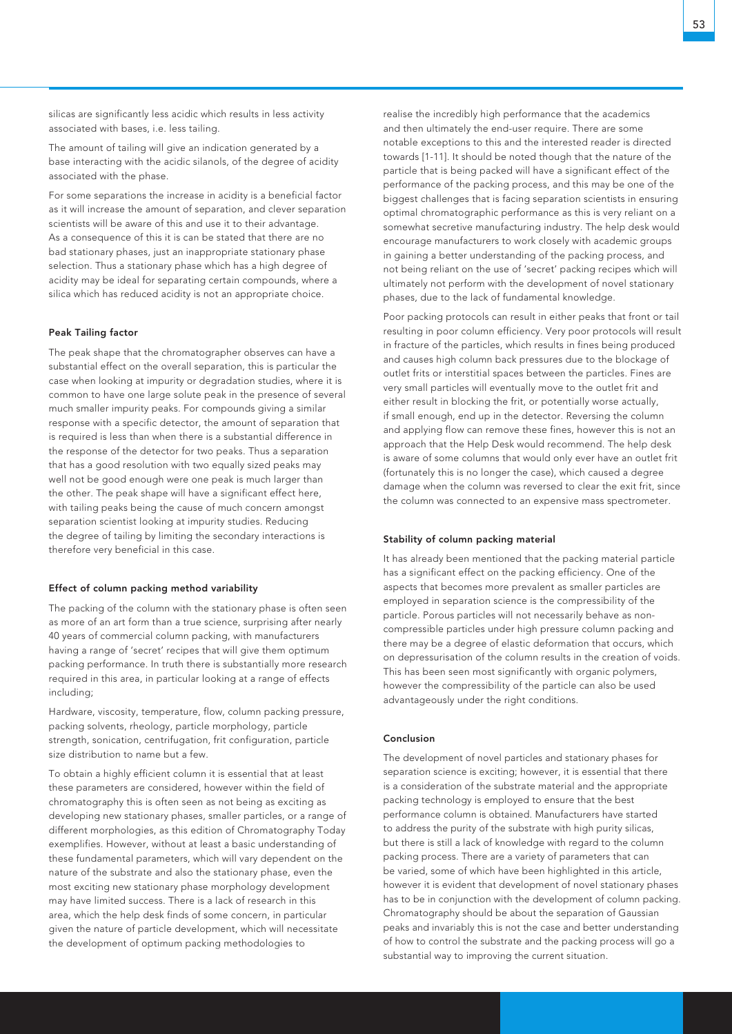silicas are significantly less acidic which results in less activity associated with bases, i.e. less tailing.

The amount of tailing will give an indication generated by a base interacting with the acidic silanols, of the degree of acidity associated with the phase.

For some separations the increase in acidity is a beneficial factor as it will increase the amount of separation, and clever separation scientists will be aware of this and use it to their advantage. As a consequence of this it is can be stated that there are no bad stationary phases, just an inappropriate stationary phase selection. Thus a stationary phase which has a high degree of acidity may be ideal for separating certain compounds, where a silica which has reduced acidity is not an appropriate choice.

#### Peak Tailing factor

The peak shape that the chromatographer observes can have a substantial effect on the overall separation, this is particular the case when looking at impurity or degradation studies, where it is common to have one large solute peak in the presence of several much smaller impurity peaks. For compounds giving a similar response with a specific detector, the amount of separation that is required is less than when there is a substantial difference in the response of the detector for two peaks. Thus a separation that has a good resolution with two equally sized peaks may well not be good enough were one peak is much larger than the other. The peak shape will have a significant effect here, with tailing peaks being the cause of much concern amongst separation scientist looking at impurity studies. Reducing the degree of tailing by limiting the secondary interactions is therefore very beneficial in this case.

#### Effect of column packing method variability

The packing of the column with the stationary phase is often seen as more of an art form than a true science, surprising after nearly 40 years of commercial column packing, with manufacturers having a range of 'secret' recipes that will give them optimum packing performance. In truth there is substantially more research required in this area, in particular looking at a range of effects including;

Hardware, viscosity, temperature, flow, column packing pressure, packing solvents, rheology, particle morphology, particle strength, sonication, centrifugation, frit configuration, particle size distribution to name but a few.

To obtain a highly efficient column it is essential that at least these parameters are considered, however within the field of chromatography this is often seen as not being as exciting as developing new stationary phases, smaller particles, or a range of different morphologies, as this edition of Chromatography Today exemplifies. However, without at least a basic understanding of these fundamental parameters, which will vary dependent on the nature of the substrate and also the stationary phase, even the most exciting new stationary phase morphology development may have limited success. There is a lack of research in this area, which the help desk finds of some concern, in particular given the nature of particle development, which will necessitate the development of optimum packing methodologies to

realise the incredibly high performance that the academics and then ultimately the end-user require. There are some notable exceptions to this and the interested reader is directed towards [1-11]. It should be noted though that the nature of the particle that is being packed will have a significant effect of the performance of the packing process, and this may be one of the biggest challenges that is facing separation scientists in ensuring optimal chromatographic performance as this is very reliant on a somewhat secretive manufacturing industry. The help desk would encourage manufacturers to work closely with academic groups in gaining a better understanding of the packing process, and not being reliant on the use of 'secret' packing recipes which will ultimately not perform with the development of novel stationary phases, due to the lack of fundamental knowledge.

Poor packing protocols can result in either peaks that front or tail resulting in poor column efficiency. Very poor protocols will result in fracture of the particles, which results in fines being produced and causes high column back pressures due to the blockage of outlet frits or interstitial spaces between the particles. Fines are very small particles will eventually move to the outlet frit and either result in blocking the frit, or potentially worse actually, if small enough, end up in the detector. Reversing the column and applying flow can remove these fines, however this is not an approach that the Help Desk would recommend. The help desk is aware of some columns that would only ever have an outlet frit (fortunately this is no longer the case), which caused a degree damage when the column was reversed to clear the exit frit, since the column was connected to an expensive mass spectrometer.

#### Stability of column packing material

It has already been mentioned that the packing material particle has a significant effect on the packing efficiency. One of the aspects that becomes more prevalent as smaller particles are employed in separation science is the compressibility of the particle. Porous particles will not necessarily behave as noncompressible particles under high pressure column packing and there may be a degree of elastic deformation that occurs, which on depressurisation of the column results in the creation of voids. This has been seen most significantly with organic polymers, however the compressibility of the particle can also be used advantageously under the right conditions.

### Conclusion

The development of novel particles and stationary phases for separation science is exciting; however, it is essential that there is a consideration of the substrate material and the appropriate packing technology is employed to ensure that the best performance column is obtained. Manufacturers have started to address the purity of the substrate with high purity silicas, but there is still a lack of knowledge with regard to the column packing process. There are a variety of parameters that can be varied, some of which have been highlighted in this article, however it is evident that development of novel stationary phases has to be in conjunction with the development of column packing. Chromatography should be about the separation of Gaussian peaks and invariably this is not the case and better understanding of how to control the substrate and the packing process will go a substantial way to improving the current situation.